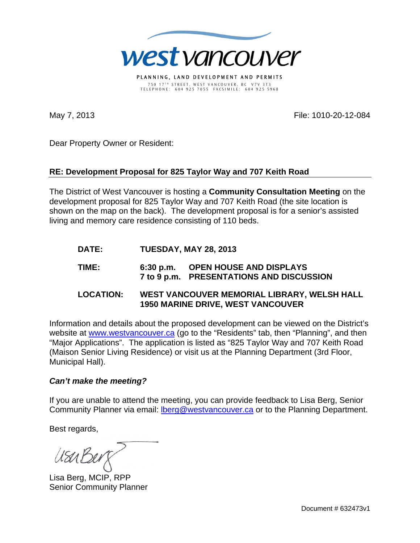

PLANNING, LAND DEVELOPMENT AND PERMITS 750 17 T H STREET, WEST VANCOUVER, BC V7V 3T3 TELEPHONE: 604 925 7055 FACSIMILE: 604 925 5968

May 7, 2013 File: 1010-20-12-084

Dear Property Owner or Resident:

## **RE: Development Proposal for 825 Taylor Way and 707 Keith Road**

The District of West Vancouver is hosting a **Community Consultation Meeting** on the development proposal for 825 Taylor Way and 707 Keith Road (the site location is shown on the map on the back). The development proposal is for a senior's assisted living and memory care residence consisting of 110 beds.

- **DATE: TUESDAY, MAY 28, 2013**
- **TIME: 6:30 p.m. OPEN HOUSE AND DISPLAYS 7 to 9 p.m. PRESENTATIONS AND DISCUSSION**
- **LOCATION: WEST VANCOUVER MEMORIAL LIBRARY, WELSH HALL 1950 MARINE DRIVE, WEST VANCOUVER**

Information and details about the proposed development can be viewed on the District's website at www.westvancouver.ca (go to the "Residents" tab, then "Planning", and then "Major Applications". The application is listed as "825 Taylor Way and 707 Keith Road (Maison Senior Living Residence) or visit us at the Planning Department (3rd Floor, Municipal Hall).

## *Can't make the meeting?*

If you are unable to attend the meeting, you can provide feedback to Lisa Berg, Senior Community Planner via email: **Iberg@westvancouver.ca** or to the Planning Department.

Best regards,

USUBU

Lisa Berg, MCIP, RPP Senior Community Planner